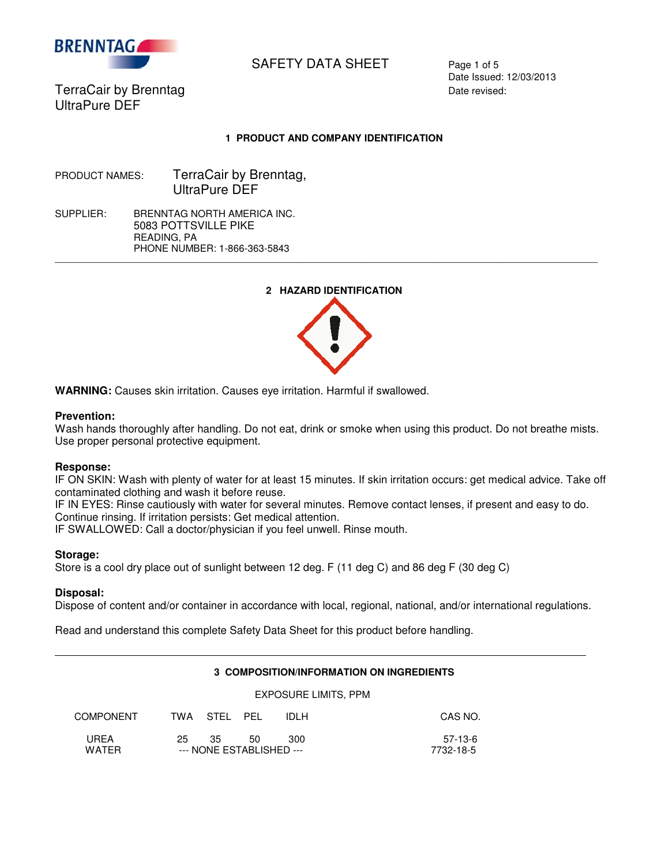

# SAFETY DATA SHEET Page 1 of 5

Date Issued: 12/03/2013

TerraCair by Brenntag **Date revised:** Date revised: UltraPure DEF

## **1 PRODUCT AND COMPANY IDENTIFICATION**

PRODUCT NAMES: TerraCair by Brenntag, UltraPure DEF

SUPPLIER: BRENNTAG NORTH AMERICA INC. 5083 POTTSVILLE PIKE READING, PA PHONE NUMBER: 1-866-363-5843

## **2 HAZARD IDENTIFICATION**

 $\overline{\phantom{a}}$  , and the set of the set of the set of the set of the set of the set of the set of the set of the set of the set of the set of the set of the set of the set of the set of the set of the set of the set of the s



**WARNING:** Causes skin irritation. Causes eye irritation. Harmful if swallowed.

## **Prevention:**

Wash hands thoroughly after handling. Do not eat, drink or smoke when using this product. Do not breathe mists. Use proper personal protective equipment.

## **Response:**

IF ON SKIN: Wash with plenty of water for at least 15 minutes. If skin irritation occurs: get medical advice. Take off contaminated clothing and wash it before reuse.

IF IN EYES: Rinse cautiously with water for several minutes. Remove contact lenses, if present and easy to do. Continue rinsing. If irritation persists: Get medical attention.

IF SWALLOWED: Call a doctor/physician if you feel unwell. Rinse mouth.

## **Storage:**

Store is a cool dry place out of sunlight between 12 deg. F (11 deg C) and 86 deg F (30 deg C)

## **Disposal:**

Ξ

Dispose of content and/or container in accordance with local, regional, national, and/or international regulations.

Read and understand this complete Safety Data Sheet for this product before handling.

## **3 COMPOSITION/INFORMATION ON INGREDIENTS**

## EXPOSURE LIMITS, PPM

| <b>COMPONENT</b>     |     | TWA STEL PEL                    |    | IDI H | CAS NO.              |
|----------------------|-----|---------------------------------|----|-------|----------------------|
| UREA<br><b>WATFR</b> | 25. | -35<br>--- NONE ESTABLISHED --- | 50 | 300   | 57-13-6<br>7732-18-5 |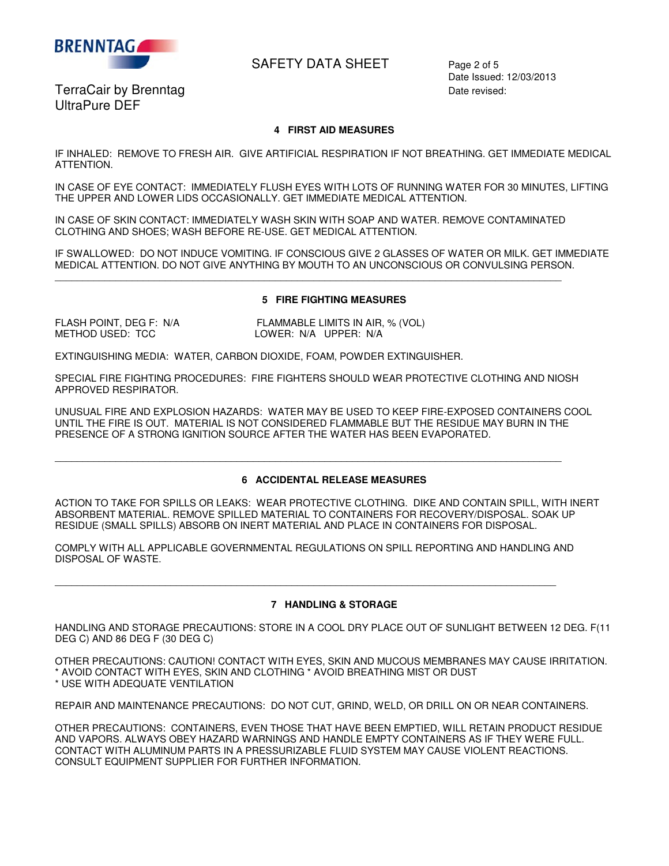

## SAFETY DATA SHEET Page 2 of 5

Date Issued: 12/03/2013

TerraCair by Brenntag **Date revised:** Date revised: UltraPure DEF

#### **4 FIRST AID MEASURES**

IF INHALED: REMOVE TO FRESH AIR. GIVE ARTIFICIAL RESPIRATION IF NOT BREATHING. GET IMMEDIATE MEDICAL ATTENTION.

IN CASE OF EYE CONTACT: IMMEDIATELY FLUSH EYES WITH LOTS OF RUNNING WATER FOR 30 MINUTES, LIFTING THE UPPER AND LOWER LIDS OCCASIONALLY. GET IMMEDIATE MEDICAL ATTENTION.

IN CASE OF SKIN CONTACT: IMMEDIATELY WASH SKIN WITH SOAP AND WATER. REMOVE CONTAMINATED CLOTHING AND SHOES; WASH BEFORE RE-USE. GET MEDICAL ATTENTION.

 $\overline{\phantom{a}}$  , and the contribution of the contribution of the contribution of the contribution of the contribution of the contribution of the contribution of the contribution of the contribution of the contribution of the

IF SWALLOWED: DO NOT INDUCE VOMITING. IF CONSCIOUS GIVE 2 GLASSES OF WATER OR MILK. GET IMMEDIATE MEDICAL ATTENTION. DO NOT GIVE ANYTHING BY MOUTH TO AN UNCONSCIOUS OR CONVULSING PERSON.

#### **5 FIRE FIGHTING MEASURES**

FLASH POINT, DEG F: N/A FLAMMABLE LIMITS IN AIR, % (VOL) METHOD USED: TCC LOWER: N/A UPPER: N/A

EXTINGUISHING MEDIA: WATER, CARBON DIOXIDE, FOAM, POWDER EXTINGUISHER.

SPECIAL FIRE FIGHTING PROCEDURES: FIRE FIGHTERS SHOULD WEAR PROTECTIVE CLOTHING AND NIOSH APPROVED RESPIRATOR.

UNUSUAL FIRE AND EXPLOSION HAZARDS: WATER MAY BE USED TO KEEP FIRE-EXPOSED CONTAINERS COOL UNTIL THE FIRE IS OUT. MATERIAL IS NOT CONSIDERED FLAMMABLE BUT THE RESIDUE MAY BURN IN THE PRESENCE OF A STRONG IGNITION SOURCE AFTER THE WATER HAS BEEN EVAPORATED.

 $\overline{\phantom{a}}$  , and the contribution of the contribution of the contribution of the contribution of the contribution of the contribution of the contribution of the contribution of the contribution of the contribution of the

#### **6 ACCIDENTAL RELEASE MEASURES**

ACTION TO TAKE FOR SPILLS OR LEAKS: WEAR PROTECTIVE CLOTHING. DIKE AND CONTAIN SPILL, WITH INERT ABSORBENT MATERIAL. REMOVE SPILLED MATERIAL TO CONTAINERS FOR RECOVERY/DISPOSAL. SOAK UP RESIDUE (SMALL SPILLS) ABSORB ON INERT MATERIAL AND PLACE IN CONTAINERS FOR DISPOSAL.

COMPLY WITH ALL APPLICABLE GOVERNMENTAL REGULATIONS ON SPILL REPORTING AND HANDLING AND DISPOSAL OF WASTE.

 $\overline{\phantom{a}}$  , and the contribution of the contribution of the contribution of the contribution of the contribution of the contribution of the contribution of the contribution of the contribution of the contribution of the

## **7 HANDLING & STORAGE**

HANDLING AND STORAGE PRECAUTIONS: STORE IN A COOL DRY PLACE OUT OF SUNLIGHT BETWEEN 12 DEG. F(11 DEG C) AND 86 DEG F (30 DEG C)

OTHER PRECAUTIONS: CAUTION! CONTACT WITH EYES, SKIN AND MUCOUS MEMBRANES MAY CAUSE IRRITATION. \* AVOID CONTACT WITH EYES, SKIN AND CLOTHING \* AVOID BREATHING MIST OR DUST \* USE WITH ADEQUATE VENTILATION

REPAIR AND MAINTENANCE PRECAUTIONS: DO NOT CUT, GRIND, WELD, OR DRILL ON OR NEAR CONTAINERS.

OTHER PRECAUTIONS: CONTAINERS, EVEN THOSE THAT HAVE BEEN EMPTIED, WILL RETAIN PRODUCT RESIDUE AND VAPORS. ALWAYS OBEY HAZARD WARNINGS AND HANDLE EMPTY CONTAINERS AS IF THEY WERE FULL. CONTACT WITH ALUMINUM PARTS IN A PRESSURIZABLE FLUID SYSTEM MAY CAUSE VIOLENT REACTIONS. CONSULT EQUIPMENT SUPPLIER FOR FURTHER INFORMATION.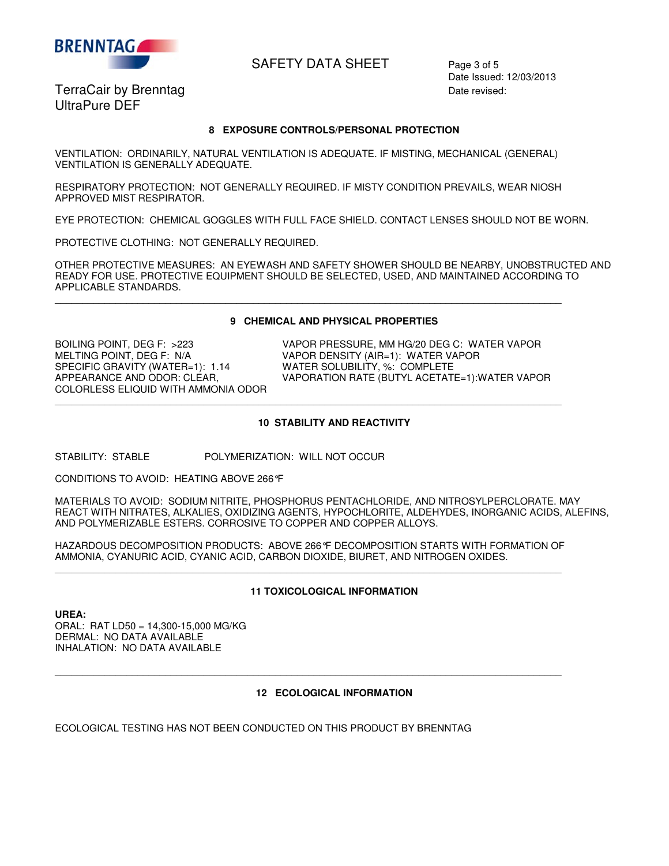

## SAFETY DATA SHEET Page 3 of 5

TerraCair by Brenntag **Date revised:** Date revised: UltraPure DEF

Date Issued: 12/03/2013

#### **8 EXPOSURE CONTROLS/PERSONAL PROTECTION**

VENTILATION: ORDINARILY, NATURAL VENTILATION IS ADEQUATE. IF MISTING, MECHANICAL (GENERAL) VENTILATION IS GENERALLY ADEQUATE.

RESPIRATORY PROTECTION: NOT GENERALLY REQUIRED. IF MISTY CONDITION PREVAILS, WEAR NIOSH APPROVED MIST RESPIRATOR.

EYE PROTECTION: CHEMICAL GOGGLES WITH FULL FACE SHIELD. CONTACT LENSES SHOULD NOT BE WORN.

PROTECTIVE CLOTHING: NOT GENERALLY REQUIRED.

OTHER PROTECTIVE MEASURES: AN EYEWASH AND SAFETY SHOWER SHOULD BE NEARBY, UNOBSTRUCTED AND READY FOR USE. PROTECTIVE EQUIPMENT SHOULD BE SELECTED, USED, AND MAINTAINED ACCORDING TO APPLICABLE STANDARDS.  $\overline{\phantom{a}}$  , and the contribution of the contribution of the contribution of the contribution of the contribution of the contribution of the contribution of the contribution of the contribution of the contribution of the

#### **9 CHEMICAL AND PHYSICAL PROPERTIES**

MELTING POINT, DEG F: N/A VAPOR DENSITY (AIR=1): WATER VAPOR<br>SPECIFIC GRAVITY (WATER=1): 1.14 WATER SOLUBILITY, %: COMPLETE SPECIFIC GRAVITY (WATER=1): 1.14 WATER SOLUBILITY, %: COMPLETE<br>APPEARANCE AND ODOR: CLEAR, WAPORATION RATE (BUTYL ACETAT COLORLESS ELIQUID WITH AMMONIA ODOR

BOILING POINT, DEG F: >223 VAPOR PRESSURE, MM HG/20 DEG C: WATER VAPOR<br>MELTING POINT. DEG F: N/A VAPOR DENSITY (AIR=1): WATER VAPOR VAPORATION RATE (BUTYL ACETATE=1):WATER VAPOR

#### **10 STABILITY AND REACTIVITY**

 $\overline{\phantom{a}}$  , and the contribution of the contribution of the contribution of the contribution of the contribution of the contribution of the contribution of the contribution of the contribution of the contribution of the

STABILITY: STABLE POLYMERIZATION: WILL NOT OCCUR

CONDITIONS TO AVOID: HEATING ABOVE 266°F

MATERIALS TO AVOID: SODIUM NITRITE, PHOSPHORUS PENTACHLORIDE, AND NITROSYLPERCLORATE. MAY REACT WITH NITRATES, ALKALIES, OXIDIZING AGENTS, HYPOCHLORITE, ALDEHYDES, INORGANIC ACIDS, ALEFINS, AND POLYMERIZABLE ESTERS. CORROSIVE TO COPPER AND COPPER ALLOYS.

HAZARDOUS DECOMPOSITION PRODUCTS: ABOVE 266°F DECOMPOSITION STARTS WITH FORMATION OF AMMONIA, CYANURIC ACID, CYANIC ACID, CARBON DIOXIDE, BIURET, AND NITROGEN OXIDES.  $\overline{\phantom{a}}$  , and the contribution of the contribution of the contribution of the contribution of the contribution of the contribution of the contribution of the contribution of the contribution of the contribution of the

 $\overline{\phantom{a}}$  , and the contribution of the contribution of the contribution of the contribution of the contribution of the contribution of the contribution of the contribution of the contribution of the contribution of the

## **11 TOXICOLOGICAL INFORMATION**

**UREA:**  ORAL: RAT LD50 = 14,300-15,000 MG/KG DERMAL: NO DATA AVAILABLE INHALATION: NO DATA AVAILABLE

## **12 ECOLOGICAL INFORMATION**

ECOLOGICAL TESTING HAS NOT BEEN CONDUCTED ON THIS PRODUCT BY BRENNTAG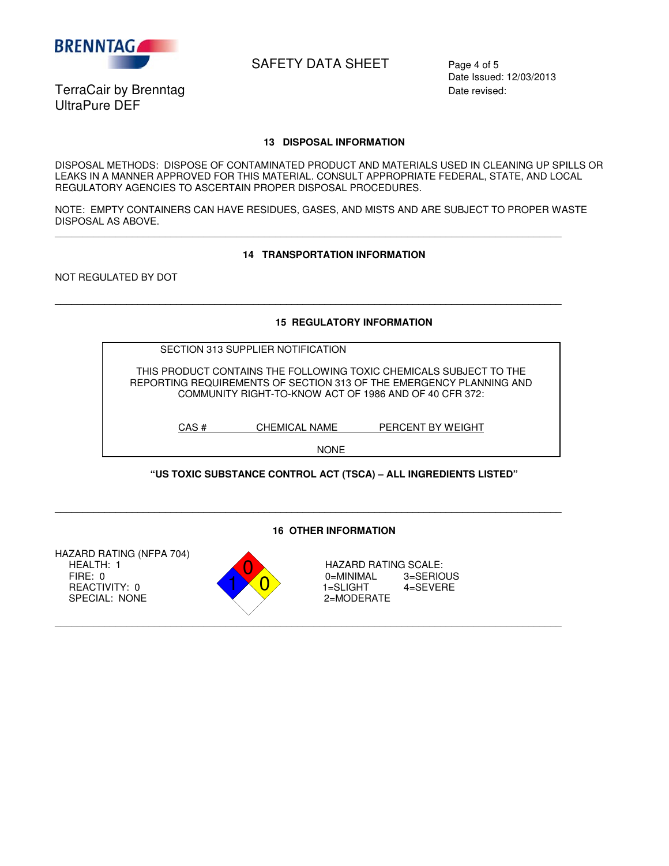

## SAFETY DATA SHEET Page 4 of 5

TerraCair by Brenntag **Date revised:** Date revised: UltraPure DEF

Date Issued: 12/03/2013

#### **13 DISPOSAL INFORMATION**

DISPOSAL METHODS: DISPOSE OF CONTAMINATED PRODUCT AND MATERIALS USED IN CLEANING UP SPILLS OR LEAKS IN A MANNER APPROVED FOR THIS MATERIAL. CONSULT APPROPRIATE FEDERAL, STATE, AND LOCAL REGULATORY AGENCIES TO ASCERTAIN PROPER DISPOSAL PROCEDURES.

NOTE: EMPTY CONTAINERS CAN HAVE RESIDUES, GASES, AND MISTS AND ARE SUBJECT TO PROPER WASTE DISPOSAL AS ABOVE.

 $\overline{\phantom{a}}$  , and the contribution of the contribution of the contribution of the contribution of the contribution of the contribution of the contribution of the contribution of the contribution of the contribution of the

 $\overline{\phantom{a}}$  , and the contribution of the contribution of the contribution of the contribution of the contribution of the contribution of the contribution of the contribution of the contribution of the contribution of the

#### **14 TRANSPORTATION INFORMATION**

NOT REGULATED BY DOT

**15 REGULATORY INFORMATION** 

| SECTION 313 SUPPLIER NOTIFICATION                                   |
|---------------------------------------------------------------------|
|                                                                     |
| THIS PRODUCT CONTAINS THE FOLLOWING TOXIC CHEMICALS SUBJECT TO THE  |
| REPORTING REQUIREMENTS OF SECTION 313 OF THE EMERGENCY PLANNING AND |
| COMMUNITY RIGHT-TO-KNOW ACT OF 1986 AND OF 40 CFR 372:              |
|                                                                     |

CAS # CHEMICAL NAME PERCENT BY WEIGHT

NONE

## **"US TOXIC SUBSTANCE CONTROL ACT (TSCA) – ALL INGREDIENTS LISTED"**